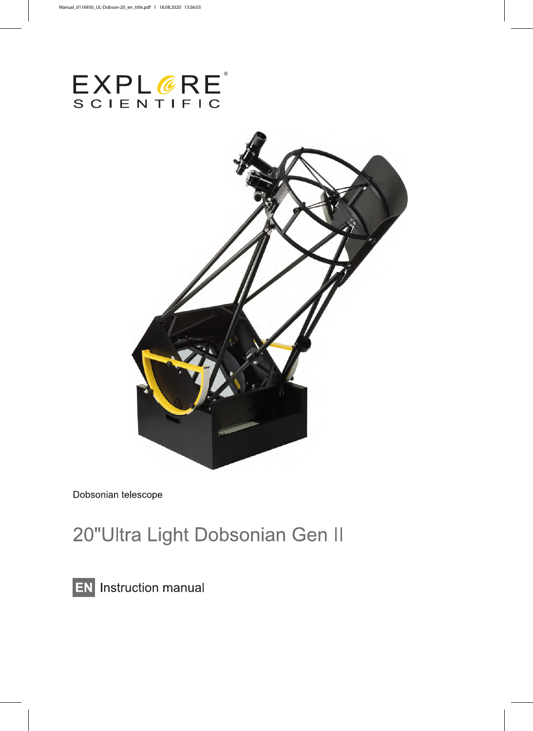



Dobsonian telescope

# 20"Ultra Light Dobsonian Gen II

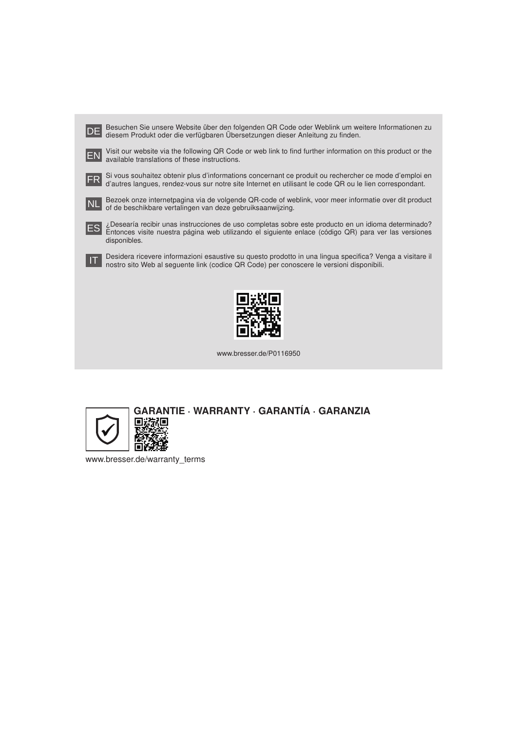|            | Besuchen Sie unsere Website über den folgenden QR Code oder Weblink um weitere Informationen zu<br>diesem Produkt oder die verfügbaren Übersetzungen dieser Anleitung zu finden.                                            |  |
|------------|-----------------------------------------------------------------------------------------------------------------------------------------------------------------------------------------------------------------------------|--|
|            | Visit our website via the following QR Code or web link to find further information on this product or the<br>available translations of these instructions.                                                                 |  |
| FR         | Si vous souhaitez obtenir plus d'informations concernant ce produit ou rechercher ce mode d'emploi en<br>d'autres langues, rendez-vous sur notre site Internet en utilisant le code QR ou le lien correspondant.            |  |
| INL        | Bezoek onze internetpagina via de volgende QR-code of weblink, voor meer informatie over dit product<br>of de beschikbare vertalingen van deze gebruiksaanwijzing.                                                          |  |
| <b>IES</b> | ¿Desearía recibir unas instrucciones de uso completas sobre este producto en un idioma determinado?<br>Entonces visite nuestra página web utilizando el siguiente enlace (código QR) para ver las versiones<br>disponibles. |  |
|            | Desidera ricevere informazioni esaustive su questo prodotto in una lingua specifica? Venga a visitare il<br>nostro sito Web al seguente link (codice QR Code) per conoscere le versioni disponibili.                        |  |
|            |                                                                                                                                                                                                                             |  |

www.bresser.de/P0116950



www.bresser.de/warranty\_terms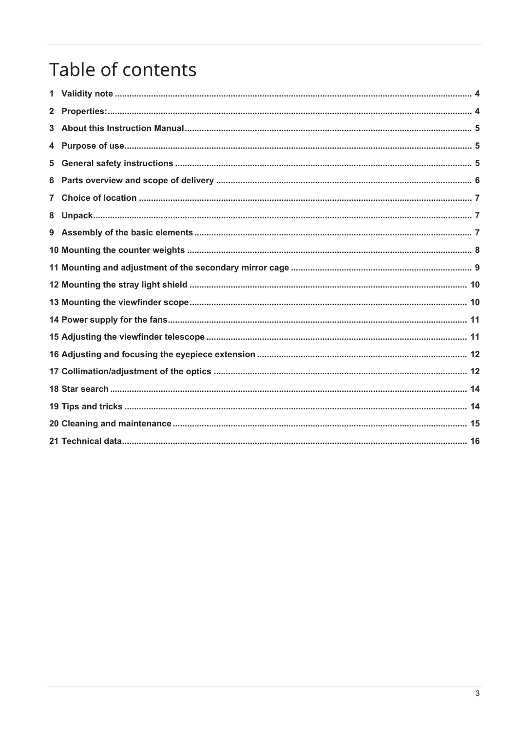# Table of contents

| $\mathbf{2}^-$ |  |
|----------------|--|
|                |  |
|                |  |
| 5              |  |
| 6              |  |
| $7^{\circ}$    |  |
| 8              |  |
|                |  |
|                |  |
|                |  |
|                |  |
|                |  |
|                |  |
|                |  |
|                |  |
|                |  |
|                |  |
|                |  |
|                |  |
|                |  |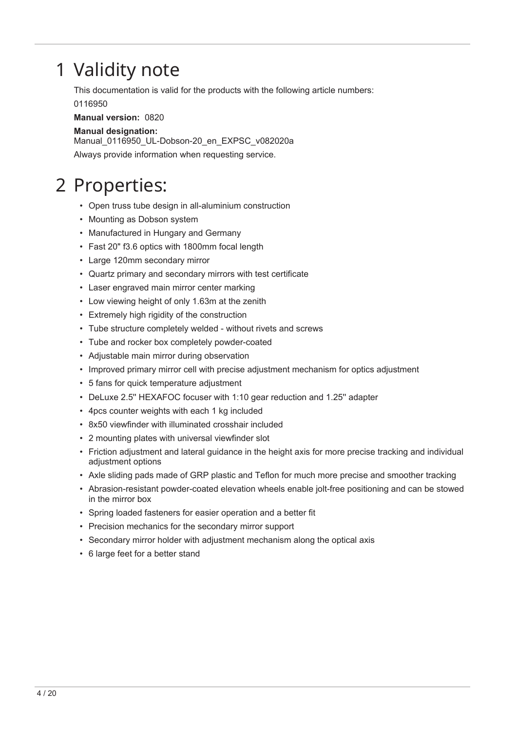## <span id="page-3-0"></span>1 Validity note

This documentation is valid for the products with the following article numbers: 0116950

**Manual version:** 0820

### **Manual designation:**

Manual 0116950 UL-Dobson-20 en EXPSC v082020a Always provide information when requesting service.

## <span id="page-3-1"></span>2 Properties:

- Open truss tube design in all-aluminium construction
- Mounting as Dobson system
- Manufactured in Hungary and Germany
- Fast 20" f3.6 optics with 1800mm focal length
- Large 120mm secondary mirror
- Quartz primary and secondary mirrors with test certificate
- Laser engraved main mirror center marking
- Low viewing height of only 1.63m at the zenith
- Extremely high rigidity of the construction
- Tube structure completely welded without rivets and screws
- Tube and rocker box completely powder-coated
- Adjustable main mirror during observation
- Improved primary mirror cell with precise adjustment mechanism for optics adjustment
- 5 fans for quick temperature adjustment
- DeLuxe 2.5'' HEXAFOC focuser with 1:10 gear reduction and 1.25'' adapter
- 4pcs counter weights with each 1 kg included
- 8x50 viewfinder with illuminated crosshair included
- 2 mounting plates with universal viewfinder slot
- Friction adjustment and lateral guidance in the height axis for more precise tracking and individual adjustment options
- Axle sliding pads made of GRP plastic and Teflon for much more precise and smoother tracking
- Abrasion-resistant powder-coated elevation wheels enable jolt-free positioning and can be stowed in the mirror box
- Spring loaded fasteners for easier operation and a better fit
- Precision mechanics for the secondary mirror support
- Secondary mirror holder with adjustment mechanism along the optical axis
- 6 large feet for a better stand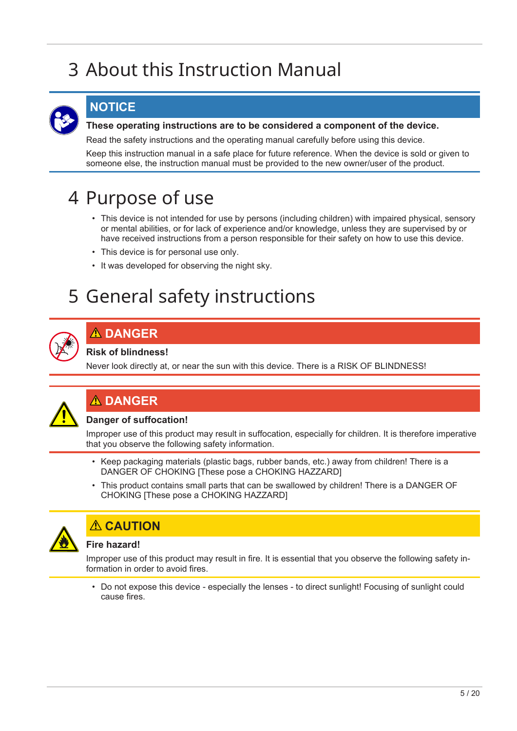# <span id="page-4-0"></span>3 About this Instruction Manual



### **NOTICE**

### **These operating instructions are to be considered a component of the device.**

Read the safety instructions and the operating manual carefully before using this device.

Keep this instruction manual in a safe place for future reference. When the device is sold or given to someone else, the instruction manual must be provided to the new owner/user of the product.

## <span id="page-4-1"></span>4 Purpose of use

- This device is not intended for use by persons (including children) with impaired physical, sensory or mental abilities, or for lack of experience and/or knowledge, unless they are supervised by or have received instructions from a person responsible for their safety on how to use this device.
- This device is for personal use only.
- It was developed for observing the night sky.

## <span id="page-4-2"></span>5 General safety instructions



## **DANGER**

### **Risk of blindness!**

Never look directly at, or near the sun with this device. There is a RISK OF BLINDNESS!

## **DANGER**

### **Danger of suffocation!**

Improper use of this product may result in suffocation, especially for children. It is therefore imperative that you observe the following safety information.

- Keep packaging materials (plastic bags, rubber bands, etc.) away from children! There is a DANGER OF CHOKING [These pose a CHOKING HAZZARD]
- This product contains small parts that can be swallowed by children! There is a DANGER OF CHOKING [These pose a CHOKING HAZZARD]



## **CAUTION**

### **Fire hazard!**

Improper use of this product may result in fire. It is essential that you observe the following safety information in order to avoid fires.

• Do not expose this device - especially the lenses - to direct sunlight! Focusing of sunlight could cause fires.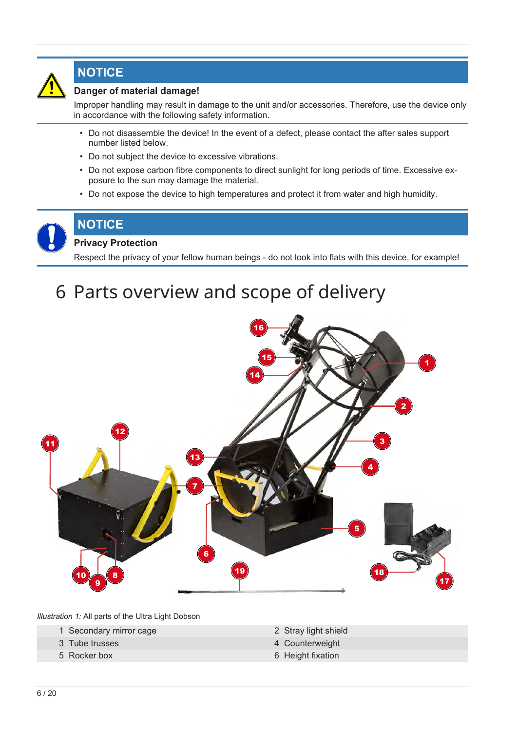

## **NOTICE**

### **Danger of material damage!**

Improper handling may result in damage to the unit and/or accessories. Therefore, use the device only in accordance with the following safety information.

- Do not disassemble the device! In the event of a defect, please contact the after sales support number listed below.
- Do not subject the device to excessive vibrations.
- Do not expose carbon fibre components to direct sunlight for long periods of time. Excessive exposure to the sun may damage the material.
- Do not expose the device to high temperatures and protect it from water and high humidity.



## **Privacy Protection**

**NOTICE**

Respect the privacy of your fellow human beings - do not look into flats with this device, for example!

## <span id="page-5-0"></span>6 Parts overview and scope of delivery



*Illustration 1:* All parts of the Ultra Light Dobson

- 1 Secondary mirror cage 2 Stray light shield
- 
- 
- 
- 3 Tube trusses 4 Counterweight
- 5 Rocker box 6 Height fixation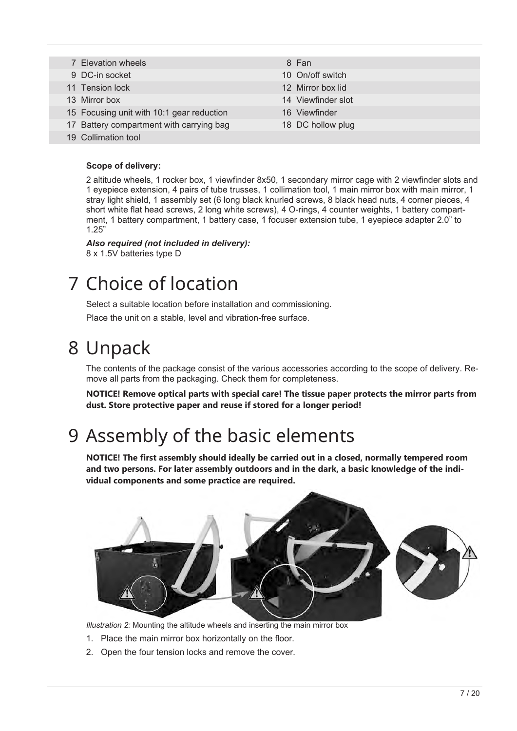7 Elevation wheels 8 Fan 9 DC-in socket 10 On/off switch 11 Tension lock 12 Mirror box lid 13 Mirror box 14 Viewfinder slot 15 Focusing unit with 10:1 gear reduction 16 Viewfinder 17 Battery compartment with carrying bag 18 DC hollow plug 19 Collimation tool

### **Scope of delivery:**

2 altitude wheels, 1 rocker box, 1 viewfinder 8x50, 1 secondary mirror cage with 2 viewfinder slots and 1 eyepiece extension, 4 pairs of tube trusses, 1 collimation tool, 1 main mirror box with main mirror, 1 stray light shield, 1 assembly set (6 long black knurled screws, 8 black head nuts, 4 corner pieces, 4 short white flat head screws, 2 long white screws), 4 O-rings, 4 counter weights, 1 battery compartment, 1 battery compartment, 1 battery case, 1 focuser extension tube, 1 eyepiece adapter 2.0" to 1.25"

#### *Also required (not included in delivery):* 8 x 1.5V batteries type D

## <span id="page-6-0"></span>7 Choice of location

Select a suitable location before installation and commissioning.

Place the unit on a stable, level and vibration-free surface.

## <span id="page-6-1"></span>8 Unpack

The contents of the package consist of the various accessories according to the scope of delivery. Remove all parts from the packaging. Check them for completeness.

**NOTICE! Remove optical parts with special care! The tissue paper protects the mirror parts from dust. Store protective paper and reuse if stored for a longer period!**

## <span id="page-6-2"></span>9 Assembly of the basic elements

**NOTICE! The first assembly should ideally be carried out in a closed, normally tempered room and two persons. For later assembly outdoors and in the dark, a basic knowledge of the individual components and some practice are required.**



*Illustration 2:* Mounting the altitude wheels and inserting the main mirror box

- 1. Place the main mirror box horizontally on the floor.
- 2. Open the four tension locks and remove the cover.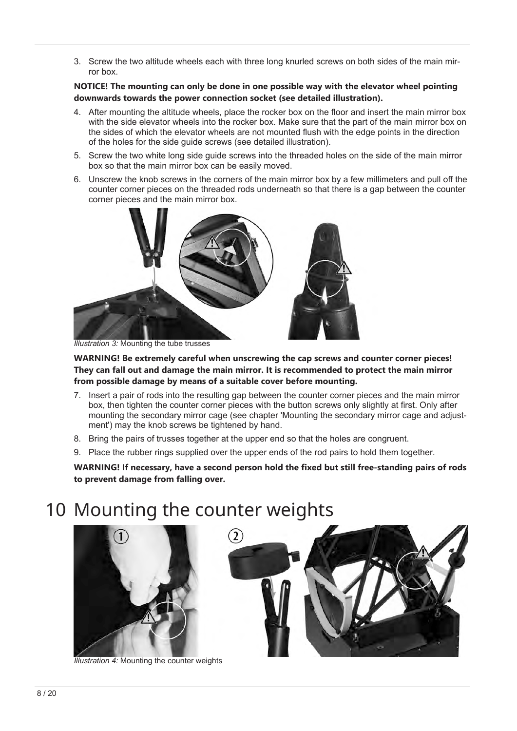3. Screw the two altitude wheels each with three long knurled screws on both sides of the main mirror box.

**NOTICE! The mounting can only be done in one possible way with the elevator wheel pointing downwards towards the power connection socket (see detailed illustration).**

- 4. After mounting the altitude wheels, place the rocker box on the floor and insert the main mirror box with the side elevator wheels into the rocker box. Make sure that the part of the main mirror box on the sides of which the elevator wheels are not mounted flush with the edge points in the direction of the holes for the side guide screws (see detailed illustration).
- 5. Screw the two white long side guide screws into the threaded holes on the side of the main mirror box so that the main mirror box can be easily moved.
- 6. Unscrew the knob screws in the corners of the main mirror box by a few millimeters and pull off the counter corner pieces on the threaded rods underneath so that there is a gap between the counter corner pieces and the main mirror box.



*Illustration 3:* Mounting the tube trusses

**WARNING! Be extremely careful when unscrewing the cap screws and counter corner pieces! They can fall out and damage the main mirror. It is recommended to protect the main mirror from possible damage by means of a suitable cover before mounting.**

- 7. Insert a pair of rods into the resulting gap between the counter corner pieces and the main mirror box, then tighten the counter corner pieces with the button screws only slightly at first. Only after mounting the secondary mirror cage (see chapter 'Mounting the secondary mirror cage and adjustment') may the knob screws be tightened by hand.
- 8. Bring the pairs of trusses together at the upper end so that the holes are congruent.
- 9. Place the rubber rings supplied over the upper ends of the rod pairs to hold them together.

**WARNING! If necessary, have a second person hold the fixed but still free-standing pairs of rods to prevent damage from falling over.**

## <span id="page-7-0"></span>10 Mounting the counter weights



*Illustration 4:* Mounting the counter weights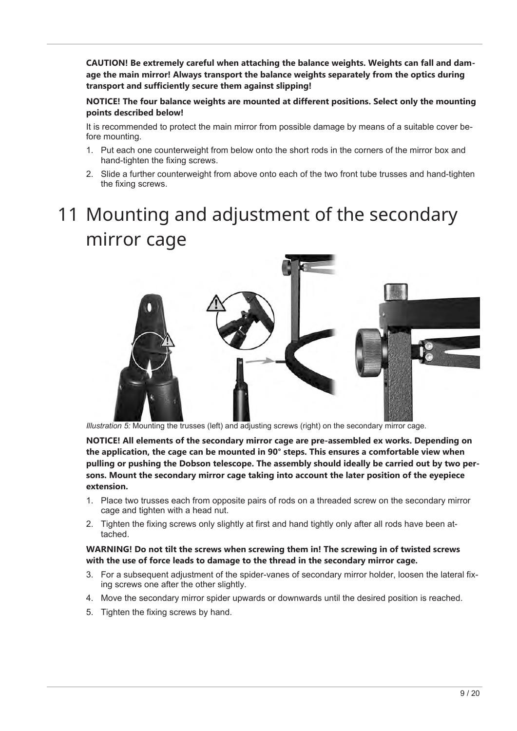**CAUTION! Be extremely careful when attaching the balance weights. Weights can fall and damage the main mirror! Always transport the balance weights separately from the optics during transport and sufficiently secure them against slipping!**

**NOTICE! The four balance weights are mounted at different positions. Select only the mounting points described below!**

It is recommended to protect the main mirror from possible damage by means of a suitable cover before mounting.

- 1. Put each one counterweight from below onto the short rods in the corners of the mirror box and hand-tighten the fixing screws.
- 2. Slide a further counterweight from above onto each of the two front tube trusses and hand-tighten the fixing screws.

# <span id="page-8-0"></span>11 Mounting and adjustment of the secondary mirror cage



*Illustration 5:* Mounting the trusses (left) and adjusting screws (right) on the secondary mirror cage.

**NOTICE! All elements of the secondary mirror cage are pre-assembled ex works. Depending on the application, the cage can be mounted in 90° steps. This ensures a comfortable view when pulling or pushing the Dobson telescope. The assembly should ideally be carried out by two persons. Mount the secondary mirror cage taking into account the later position of the eyepiece extension.**

- 1. Place two trusses each from opposite pairs of rods on a threaded screw on the secondary mirror cage and tighten with a head nut.
- 2. Tighten the fixing screws only slightly at first and hand tightly only after all rods have been attached.

### **WARNING! Do not tilt the screws when screwing them in! The screwing in of twisted screws with the use of force leads to damage to the thread in the secondary mirror cage.**

- 3. For a subsequent adjustment of the spider-vanes of secondary mirror holder, loosen the lateral fixing screws one after the other slightly.
- 4. Move the secondary mirror spider upwards or downwards until the desired position is reached.
- 5. Tighten the fixing screws by hand.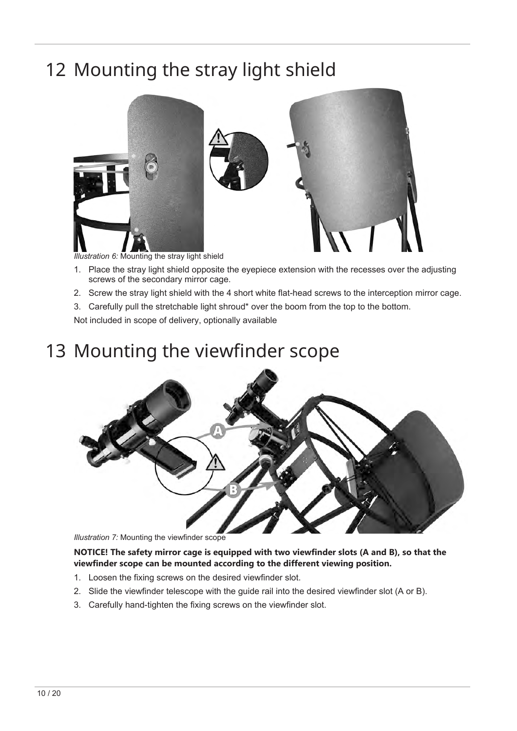## <span id="page-9-0"></span>12 Mounting the stray light shield



*Illustration 6:* Mounting the stray light shield

- 1. Place the stray light shield opposite the eyepiece extension with the recesses over the adjusting screws of the secondary mirror cage.
- 2. Screw the stray light shield with the 4 short white flat-head screws to the interception mirror cage.
- 3. Carefully pull the stretchable light shroud\* over the boom from the top to the bottom.

<span id="page-9-1"></span>Not included in scope of delivery, optionally available

## 13 Mounting the viewfinder scope



*Illustration 7:* Mounting the viewfinder scope

### **NOTICE! The safety mirror cage is equipped with two viewfinder slots (A and B), so that the viewfinder scope can be mounted according to the different viewing position.**

- 1. Loosen the fixing screws on the desired viewfinder slot.
- 2. Slide the viewfinder telescope with the guide rail into the desired viewfinder slot (A or B).
- 3. Carefully hand-tighten the fixing screws on the viewfinder slot.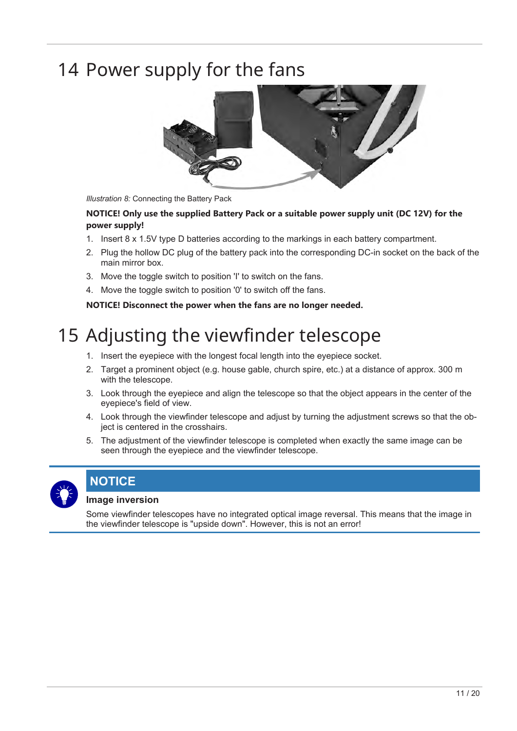## <span id="page-10-0"></span>14 Power supply for the fans



*Illustration 8:* Connecting the Battery Pack

### **NOTICE! Only use the supplied Battery Pack or a suitable power supply unit (DC 12V) for the power supply!**

- 1. Insert 8 x 1.5V type D batteries according to the markings in each battery compartment.
- 2. Plug the hollow DC plug of the battery pack into the corresponding DC-in socket on the back of the main mirror box.
- 3. Move the toggle switch to position 'I' to switch on the fans.
- 4. Move the toggle switch to position '0' to switch off the fans.

<span id="page-10-1"></span>**NOTICE! Disconnect the power when the fans are no longer needed.**

# 15 Adjusting the viewfinder telescope

- 1. Insert the eyepiece with the longest focal length into the eyepiece socket.
- 2. Target a prominent object (e.g. house gable, church spire, etc.) at a distance of approx. 300 m with the telescope.
- 3. Look through the eyepiece and align the telescope so that the object appears in the center of the eyepiece's field of view.
- 4. Look through the viewfinder telescope and adjust by turning the adjustment screws so that the object is centered in the crosshairs.
- 5. The adjustment of the viewfinder telescope is completed when exactly the same image can be seen through the eyepiece and the viewfinder telescope.



## **NOTICE**

### **Image inversion**

Some viewfinder telescopes have no integrated optical image reversal. This means that the image in the viewfinder telescope is "upside down". However, this is not an error!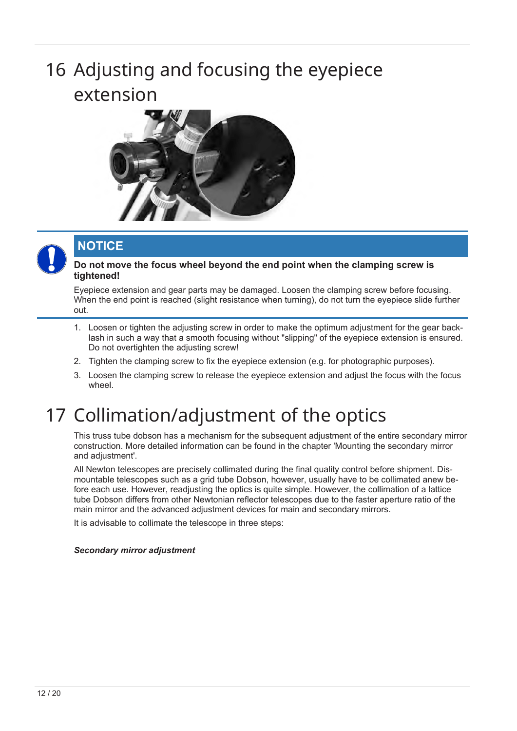# <span id="page-11-0"></span>16 Adjusting and focusing the eyepiece extension





## **NOTICE**

### **Do not move the focus wheel beyond the end point when the clamping screw is tightened!**

Eyepiece extension and gear parts may be damaged. Loosen the clamping screw before focusing. When the end point is reached (slight resistance when turning), do not turn the evepiece slide further out.

- 1. Loosen or tighten the adjusting screw in order to make the optimum adjustment for the gear backlash in such a way that a smooth focusing without "slipping" of the eyepiece extension is ensured. Do not overtighten the adjusting screw!
- 2. Tighten the clamping screw to fix the eyepiece extension (e.g. for photographic purposes).
- 3. Loosen the clamping screw to release the eyepiece extension and adjust the focus with the focus wheel.

## <span id="page-11-1"></span>17 Collimation/adjustment of the optics

This truss tube dobson has a mechanism for the subsequent adjustment of the entire secondary mirror construction. More detailed information can be found in the chapter 'Mounting the secondary mirror and adjustment'.

All Newton telescopes are precisely collimated during the final quality control before shipment. Dismountable telescopes such as a grid tube Dobson, however, usually have to be collimated anew before each use. However, readjusting the optics is quite simple. However, the collimation of a lattice tube Dobson differs from other Newtonian reflector telescopes due to the faster aperture ratio of the main mirror and the advanced adjustment devices for main and secondary mirrors.

It is advisable to collimate the telescope in three steps:

### *Secondary mirror adjustment*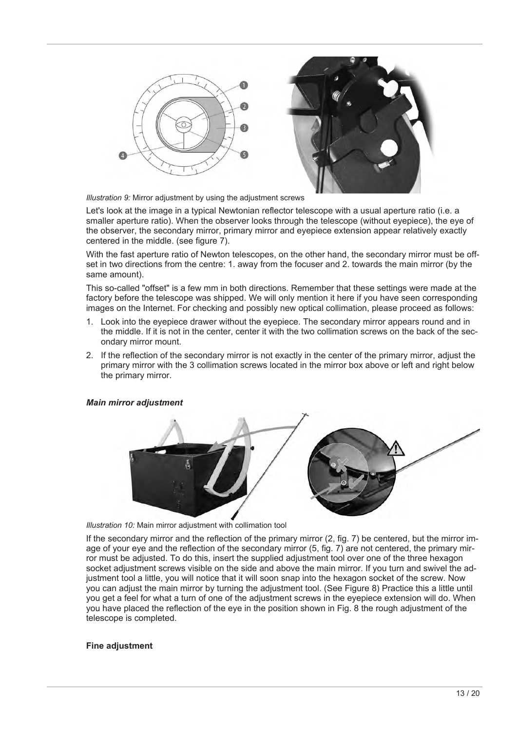



*Illustration 9:* Mirror adjustment by using the adjustment screws

Let's look at the image in a typical Newtonian reflector telescope with a usual aperture ratio (i.e. a smaller aperture ratio). When the observer looks through the telescope (without eyepiece), the eye of the observer, the secondary mirror, primary mirror and eyepiece extension appear relatively exactly centered in the middle. (see figure 7).

With the fast aperture ratio of Newton telescopes, on the other hand, the secondary mirror must be offset in two directions from the centre: 1. away from the focuser and 2. towards the main mirror (by the same amount).

This so-called "offset" is a few mm in both directions. Remember that these settings were made at the factory before the telescope was shipped. We will only mention it here if you have seen corresponding images on the Internet. For checking and possibly new optical collimation, please proceed as follows:

- 1. Look into the eyepiece drawer without the eyepiece. The secondary mirror appears round and in the middle. If it is not in the center, center it with the two collimation screws on the back of the secondary mirror mount.
- 2. If the reflection of the secondary mirror is not exactly in the center of the primary mirror, adjust the primary mirror with the 3 collimation screws located in the mirror box above or left and right below the primary mirror.

#### *Main mirror adjustment*



*Illustration 10:* Main mirror adjustment with collimation tool

If the secondary mirror and the reflection of the primary mirror (2, fig. 7) be centered, but the mirror image of your eye and the reflection of the secondary mirror (5, fig. 7) are not centered, the primary mirror must be adjusted. To do this, insert the supplied adjustment tool over one of the three hexagon socket adiustment screws visible on the side and above the main mirror. If you turn and swivel the adjustment tool a little, you will notice that it will soon snap into the hexagon socket of the screw. Now you can adjust the main mirror by turning the adjustment tool. (See Figure 8) Practice this a little until you get a feel for what a turn of one of the adjustment screws in the eyepiece extension will do. When you have placed the reflection of the eye in the position shown in Fig. 8 the rough adjustment of the telescope is completed.

#### **Fine adjustment**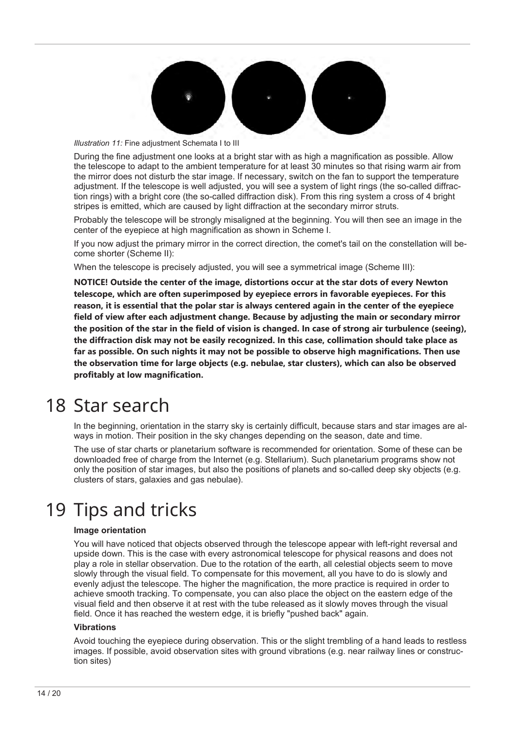

*Illustration 11:* Fine adjustment Schemata I to III

During the fine adjustment one looks at a bright star with as high a magnification as possible. Allow the telescope to adapt to the ambient temperature for at least 30 minutes so that rising warm air from the mirror does not disturb the star image. If necessary, switch on the fan to support the temperature adjustment. If the telescope is well adjusted, you will see a system of light rings (the so-called diffraction rings) with a bright core (the so-called diffraction disk). From this ring system a cross of 4 bright stripes is emitted, which are caused by light diffraction at the secondary mirror struts.

Probably the telescope will be strongly misaligned at the beginning. You will then see an image in the center of the eyepiece at high magnification as shown in Scheme I.

If you now adjust the primary mirror in the correct direction, the comet's tail on the constellation will become shorter (Scheme II):

When the telescope is precisely adjusted, you will see a symmetrical image (Scheme III):

**NOTICE! Outside the center of the image, distortions occur at the star dots of every Newton telescope, which are often superimposed by eyepiece errors in favorable eyepieces. For this reason, it is essential that the polar star is always centered again in the center of the eyepiece field of view after each adjustment change. Because by adjusting the main or secondary mirror the position of the star in the field of vision is changed. In case of strong air turbulence (seeing), the diffraction disk may not be easily recognized. In this case, collimation should take place as far as possible. On such nights it may not be possible to observe high magnifications. Then use the observation time for large objects (e.g. nebulae, star clusters), which can also be observed profitably at low magnification.**

## <span id="page-13-0"></span>18 Star search

In the beginning, orientation in the starry sky is certainly difficult, because stars and star images are always in motion. Their position in the sky changes depending on the season, date and time.

The use of star charts or planetarium software is recommended for orientation. Some of these can be downloaded free of charge from the Internet (e.g. Stellarium). Such planetarium programs show not only the position of star images, but also the positions of planets and so-called deep sky objects (e.g. clusters of stars, galaxies and gas nebulae).

## <span id="page-13-1"></span>19 Tips and tricks

#### **Image orientation**

You will have noticed that objects observed through the telescope appear with left-right reversal and upside down. This is the case with every astronomical telescope for physical reasons and does not play a role in stellar observation. Due to the rotation of the earth, all celestial objects seem to move slowly through the visual field. To compensate for this movement, all you have to do is slowly and evenly adjust the telescope. The higher the magnification, the more practice is required in order to achieve smooth tracking. To compensate, you can also place the object on the eastern edge of the visual field and then observe it at rest with the tube released as it slowly moves through the visual field. Once it has reached the western edge, it is briefly "pushed back" again.

#### **Vibrations**

Avoid touching the eyepiece during observation. This or the slight trembling of a hand leads to restless images. If possible, avoid observation sites with ground vibrations (e.g. near railway lines or construction sites)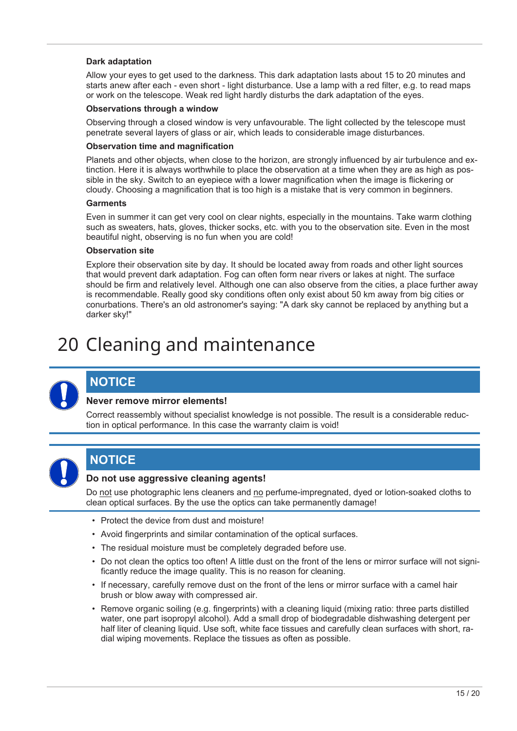### **Dark adaptation**

Allow your eyes to get used to the darkness. This dark adaptation lasts about 15 to 20 minutes and starts anew after each - even short - light disturbance. Use a lamp with a red filter, e.g. to read maps or work on the telescope. Weak red light hardly disturbs the dark adaptation of the eyes.

#### **Observations through a window**

Observing through a closed window is very unfavourable. The light collected by the telescope must penetrate several layers of glass or air, which leads to considerable image disturbances.

#### **Observation time and magnification**

Planets and other objects, when close to the horizon, are strongly influenced by air turbulence and extinction. Here it is always worthwhile to place the observation at a time when they are as high as possible in the sky. Switch to an eyepiece with a lower magnification when the image is flickering or cloudy. Choosing a magnification that is too high is a mistake that is very common in beginners.

#### **Garments**

Even in summer it can get very cool on clear nights, especially in the mountains. Take warm clothing such as sweaters, hats, gloves, thicker socks, etc. with you to the observation site. Even in the most beautiful night, observing is no fun when you are cold!

#### **Observation site**

Explore their observation site by day. It should be located away from roads and other light sources that would prevent dark adaptation. Fog can often form near rivers or lakes at night. The surface should be firm and relatively level. Although one can also observe from the cities, a place further away is recommendable. Really good sky conditions often only exist about 50 km away from big cities or conurbations. There's an old astronomer's saying: "A dark sky cannot be replaced by anything but a darker sky!"

## <span id="page-14-0"></span>20 Cleaning and maintenance



### **NOTICE**

### **Never remove mirror elements!**

Correct reassembly without specialist knowledge is not possible. The result is a considerable reduction in optical performance. In this case the warranty claim is void!



### **NOTICE**

### **Do not use aggressive cleaning agents!**

Do not use photographic lens cleaners and no perfume-impregnated, dyed or lotion-soaked cloths to clean optical surfaces. By the use the optics can take permanently damage!

- Protect the device from dust and moisture!
- Avoid fingerprints and similar contamination of the optical surfaces.
- The residual moisture must be completely degraded before use.
- Do not clean the optics too often! A little dust on the front of the lens or mirror surface will not significantly reduce the image quality. This is no reason for cleaning.
- If necessary, carefully remove dust on the front of the lens or mirror surface with a camel hair brush or blow away with compressed air.
- Remove organic soiling (e.g. fingerprints) with a cleaning liquid (mixing ratio: three parts distilled water, one part isopropyl alcohol). Add a small drop of biodegradable dishwashing detergent per half liter of cleaning liquid. Use soft, white face tissues and carefully clean surfaces with short, radial wiping movements. Replace the tissues as often as possible.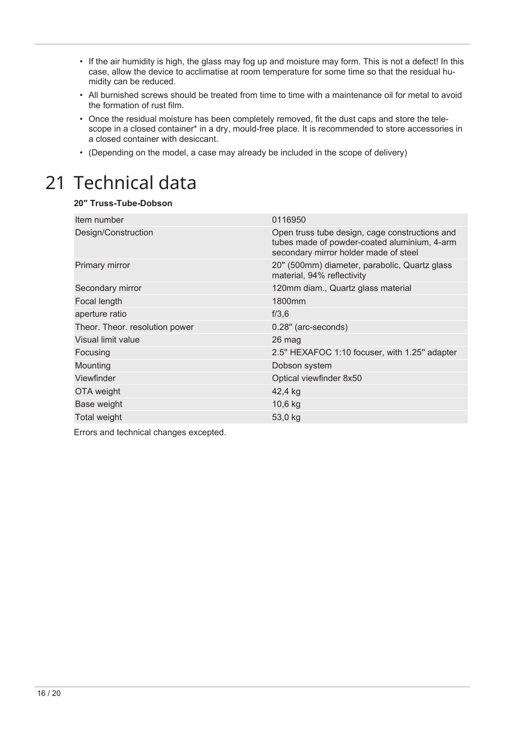- If the air humidity is high, the glass may fog up and moisture may form. This is not a defect! In this case, allow the device to acclimatise at room temperature for some time so that the residual humidity can be reduced.
- All burnished screws should be treated from time to time with a maintenance oil for metal to avoid the formation of rust film.
- Once the residual moisture has been completely removed, fit the dust caps and store the telescope in a closed container\* in a dry, mould-free place. It is recommended to store accessories in a closed container with desiccant.
- <span id="page-15-0"></span>• (Depending on the model, a case may already be included in the scope of delivery)

## 21 Technical data

### **20'' Truss-Tube-Dobson**

| Item number                    | 0116950                                                                                                                                 |
|--------------------------------|-----------------------------------------------------------------------------------------------------------------------------------------|
| Design/Construction            | Open truss tube design, cage constructions and<br>tubes made of powder-coated aluminium, 4-arm<br>secondary mirror holder made of steel |
| Primary mirror                 | 20" (500mm) diameter, parabolic, Quartz glass<br>material, 94% reflectivity                                                             |
| Secondary mirror               | 120mm diam., Quartz glass material                                                                                                      |
| Focal length                   | 1800mm                                                                                                                                  |
| aperture ratio                 | f/3,6                                                                                                                                   |
| Theor. Theor. resolution power | 0.28" (arc-seconds)                                                                                                                     |
| Visual limit value             | 26 mag                                                                                                                                  |
| Focusing                       | 2.5" HEXAFOC 1:10 focuser, with 1.25" adapter                                                                                           |
| Mounting                       | Dobson system                                                                                                                           |
| Viewfinder                     | Optical viewfinder 8x50                                                                                                                 |
| OTA weight                     | 42,4 kg                                                                                                                                 |
| Base weight                    | 10,6 kg                                                                                                                                 |
| Total weight                   | 53,0 kg                                                                                                                                 |

Errors and technical changes excepted.